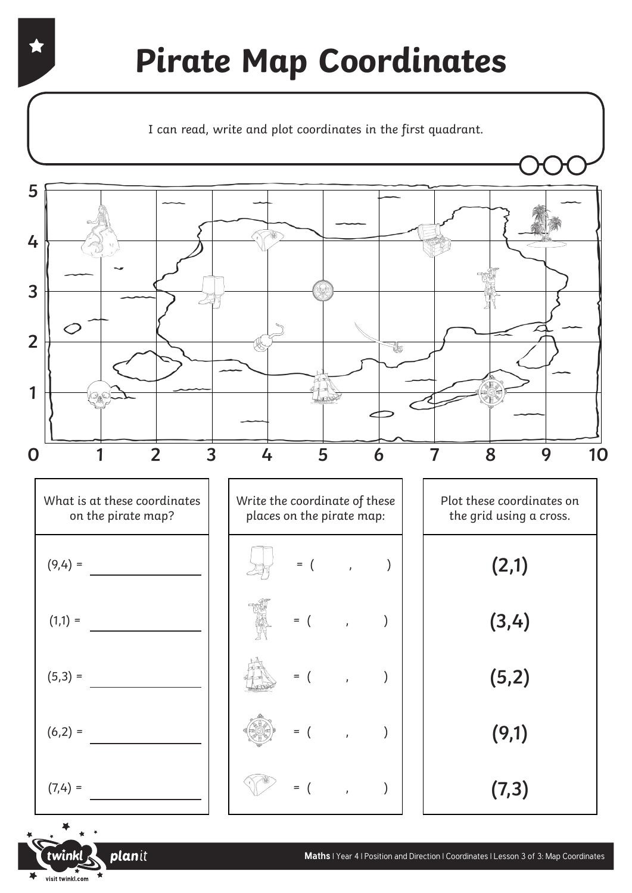#### **Pirate Map Coordinates**

I can read, write and plot coordinates in the first quadrant.



planit

visit twinkl.com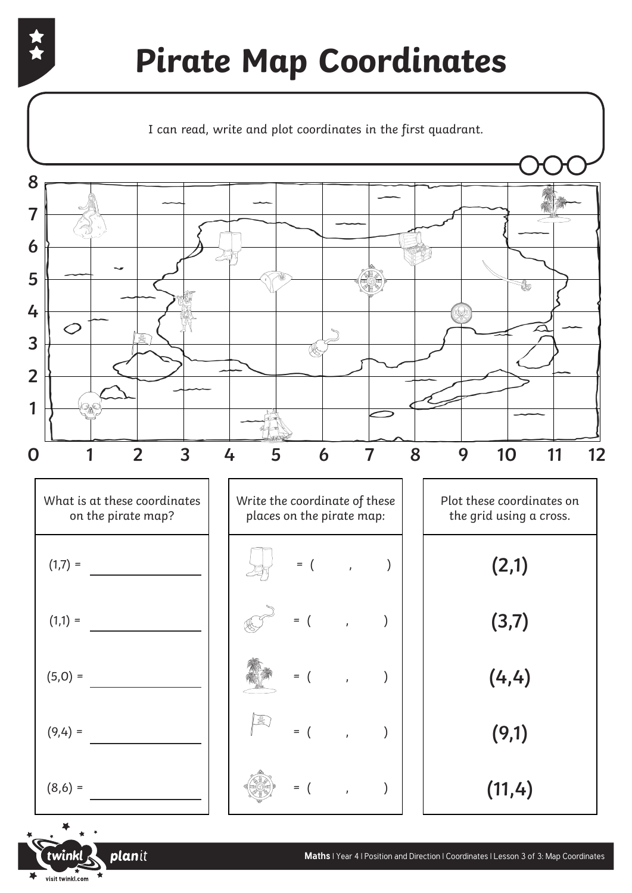### **Pirate Map Coordinates**

I can read, write and plot coordinates in the first quadrant.



planit

visit twinkl.com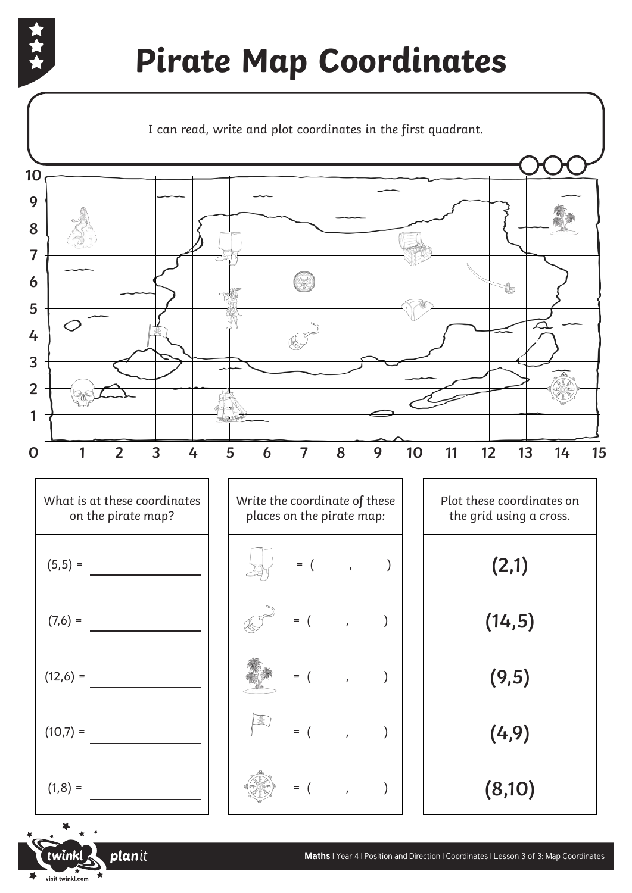

planit

visit twinkl.com

# **Pirate Map Coordinates**

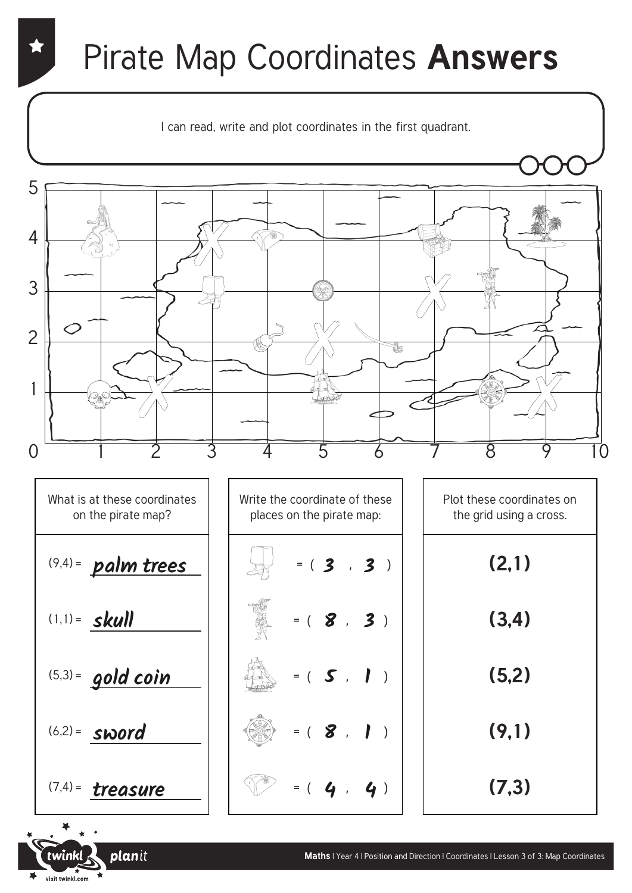### Pirate Map Coordinates **Answers**

I can read, write and plot coordinates in the first quadrant. 5 4 3 2 to 1 0 1 2 3 4 5 6 7 8 9 10 What is at these coordinates Write the coordinate of these Plot these coordinates on on the pirate map? places on the pirate map: the grid using a cross. **(2,1)** (9,4) = **palm trees 3**  $= (3, 3)$ **(3,4)** (1,1) = **skull**  $= (8, 3)$ **(5,2)** (5,3) = **gold coin**  $= (S, I)$ **5 (9,1)** (6,2) = **sword**  $= ( 8, 1)$ **8**

(7,4) = **treasure**

visit twinkl.com

planit

**(7,3)**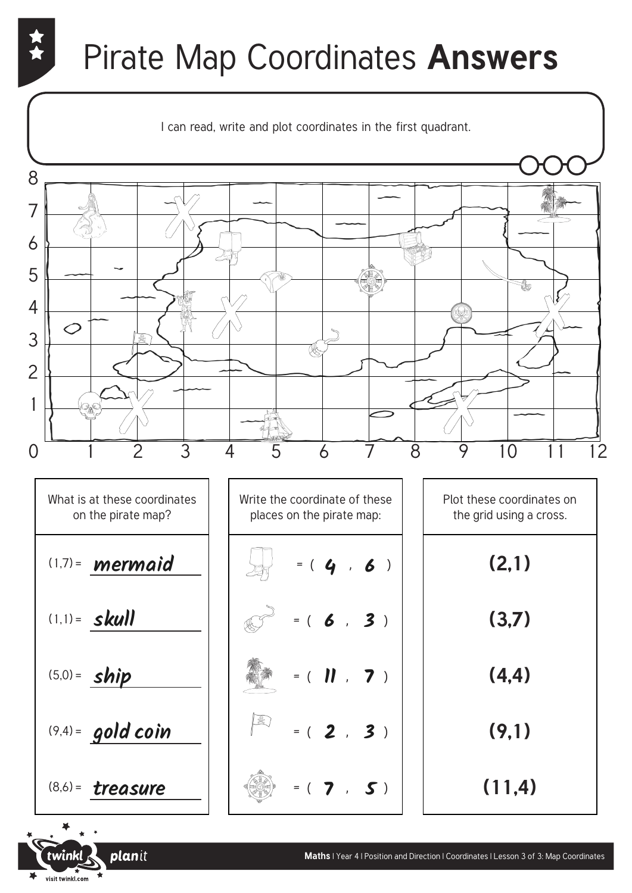# Pirate Map Coordinates **Answers**



planit

visit twinkl.com